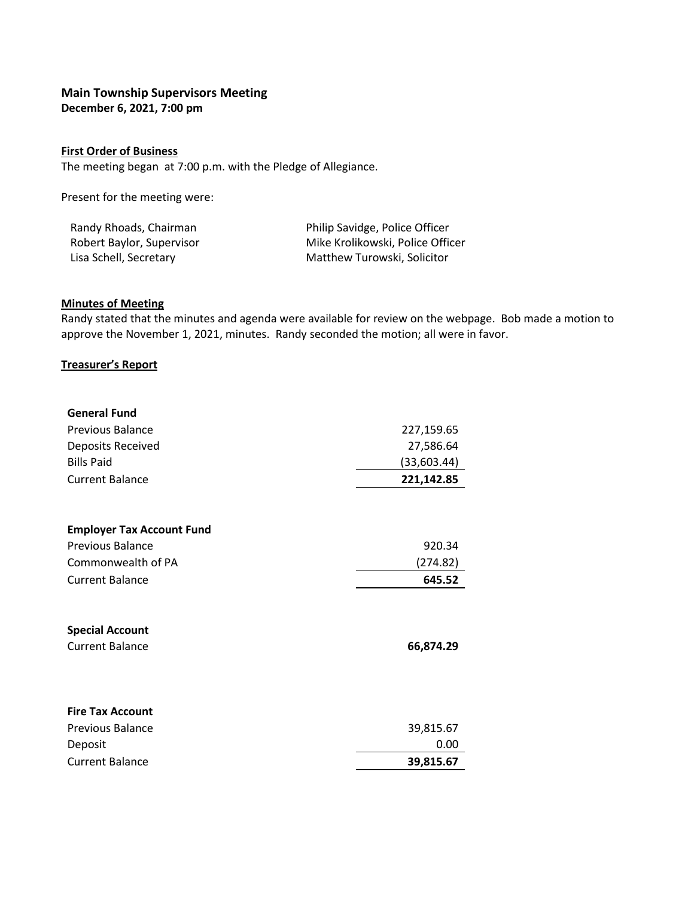# **Main Township Supervisors Meeting December 6, 2021, 7:00 pm**

### **First Order of Business**

The meeting began at 7:00 p.m. with the Pledge of Allegiance.

Present for the meeting were:

| Randy Rhoads, Chairman    | Philip Savidge, Police Officer   |
|---------------------------|----------------------------------|
| Robert Baylor, Supervisor | Mike Krolikowski, Police Officer |
| Lisa Schell, Secretary    | Matthew Turowski, Solicitor      |

### **Minutes of Meeting**

Randy stated that the minutes and agenda were available for review on the webpage. Bob made a motion to approve the November 1, 2021, minutes. Randy seconded the motion; all were in favor.

### **Treasurer's Report**

| <b>General Fund</b>                                        |                                        |                        |            |
|------------------------------------------------------------|----------------------------------------|------------------------|------------|
| Previous Balance<br>Deposits Received<br><b>Bills Paid</b> | 227,159.65<br>27,586.64<br>(33,603.44) |                        |            |
|                                                            |                                        | <b>Current Balance</b> | 221,142.85 |
|                                                            |                                        |                        |            |
| <b>Employer Tax Account Fund</b>                           |                                        |                        |            |
| <b>Previous Balance</b>                                    | 920.34                                 |                        |            |
| Commonwealth of PA                                         | (274.82)                               |                        |            |
| <b>Current Balance</b>                                     | 645.52                                 |                        |            |
| <b>Special Account</b><br><b>Current Balance</b>           | 66,874.29                              |                        |            |
|                                                            |                                        |                        |            |
| <b>Fire Tax Account</b>                                    |                                        |                        |            |
| <b>Previous Balance</b>                                    | 39,815.67                              |                        |            |
| Deposit                                                    | 0.00                                   |                        |            |
| <b>Current Balance</b>                                     | 39,815.67                              |                        |            |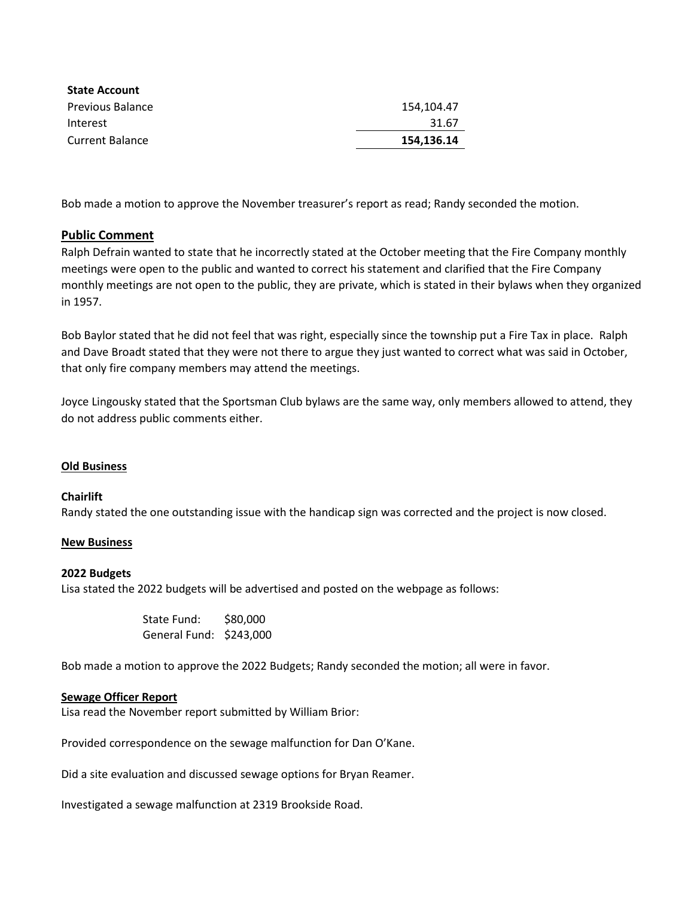| <b>State Account</b>    |            |
|-------------------------|------------|
| <b>Previous Balance</b> | 154.104.47 |
| Interest                | 31.67      |
| <b>Current Balance</b>  | 154.136.14 |

Bob made a motion to approve the November treasurer's report as read; Randy seconded the motion.

# **Public Comment**

Ralph Defrain wanted to state that he incorrectly stated at the October meeting that the Fire Company monthly meetings were open to the public and wanted to correct his statement and clarified that the Fire Company monthly meetings are not open to the public, they are private, which is stated in their bylaws when they organized in 1957.

Bob Baylor stated that he did not feel that was right, especially since the township put a Fire Tax in place. Ralph and Dave Broadt stated that they were not there to argue they just wanted to correct what was said in October, that only fire company members may attend the meetings.

Joyce Lingousky stated that the Sportsman Club bylaws are the same way, only members allowed to attend, they do not address public comments either.

# **Old Business**

#### **Chairlift**

Randy stated the one outstanding issue with the handicap sign was corrected and the project is now closed.

#### **New Business**

#### **2022 Budgets**

Lisa stated the 2022 budgets will be advertised and posted on the webpage as follows:

State Fund: \$80,000 General Fund: \$243,000

Bob made a motion to approve the 2022 Budgets; Randy seconded the motion; all were in favor.

#### **Sewage Officer Report**

Lisa read the November report submitted by William Brior:

Provided correspondence on the sewage malfunction for Dan O'Kane.

Did a site evaluation and discussed sewage options for Bryan Reamer.

Investigated a sewage malfunction at 2319 Brookside Road.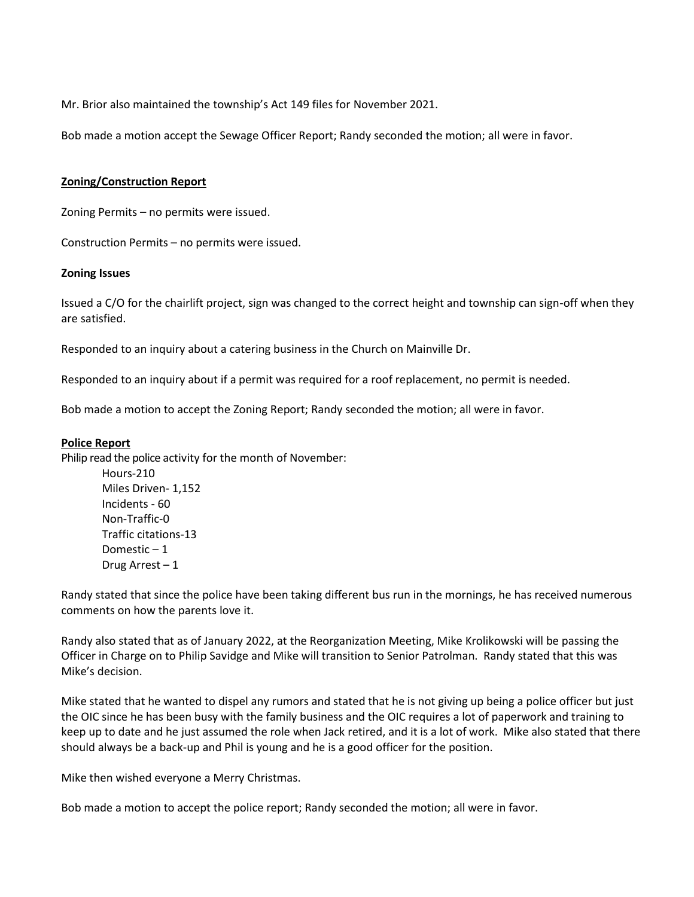Mr. Brior also maintained the township's Act 149 files for November 2021.

Bob made a motion accept the Sewage Officer Report; Randy seconded the motion; all were in favor.

#### **Zoning/Construction Report**

Zoning Permits – no permits were issued.

Construction Permits – no permits were issued.

#### **Zoning Issues**

Issued a C/O for the chairlift project, sign was changed to the correct height and township can sign-off when they are satisfied.

Responded to an inquiry about a catering business in the Church on Mainville Dr.

Responded to an inquiry about if a permit was required for a roof replacement, no permit is needed.

Bob made a motion to accept the Zoning Report; Randy seconded the motion; all were in favor.

#### **Police Report**

Philip read the police activity for the month of November:

Hours-210 Miles Driven- 1,152 Incidents - 60 Non-Traffic-0 Traffic citations-13 Domestic – 1 Drug Arrest – 1

Randy stated that since the police have been taking different bus run in the mornings, he has received numerous comments on how the parents love it.

Randy also stated that as of January 2022, at the Reorganization Meeting, Mike Krolikowski will be passing the Officer in Charge on to Philip Savidge and Mike will transition to Senior Patrolman. Randy stated that this was Mike's decision.

Mike stated that he wanted to dispel any rumors and stated that he is not giving up being a police officer but just the OIC since he has been busy with the family business and the OIC requires a lot of paperwork and training to keep up to date and he just assumed the role when Jack retired, and it is a lot of work. Mike also stated that there should always be a back-up and Phil is young and he is a good officer for the position.

Mike then wished everyone a Merry Christmas.

Bob made a motion to accept the police report; Randy seconded the motion; all were in favor.